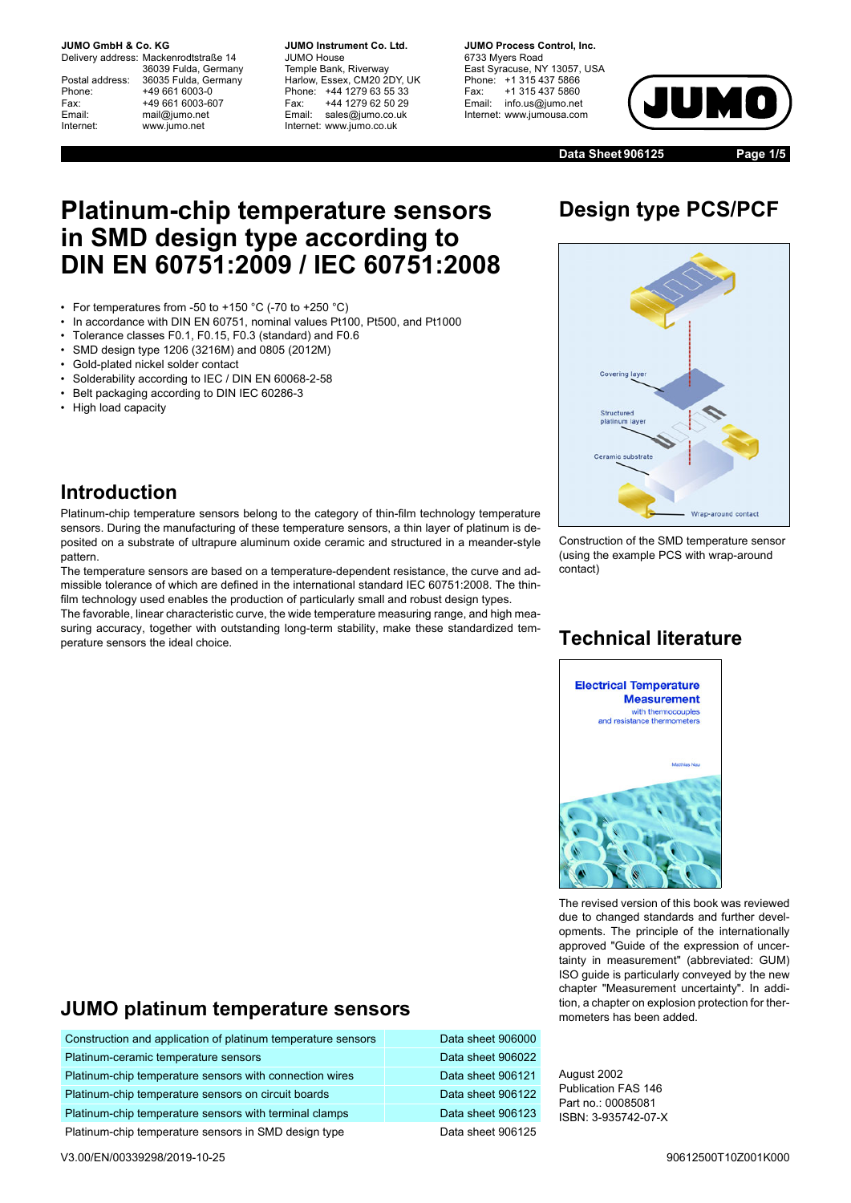#### **JUMO GmbH & Co. KG.**

Delivery address: Mackenrodtstraße 14 36039 Fulda, Germany Postal address: 36035 Fulda, Germany<br>Phone: +49 661 6003-0 Phone: +49 661 6003-0<br>Fax: +49 661 6003-6 Fax: +49 661 6003-607<br>
Fmail: mail@iumo.net mail@iumo.net Internet: www.jumo.net

**-BUMO Instrument Co. Ltd.** JUMO House Temple Bank, Riverway Harlow, Essex, CM20 2DY, UK Phone: +44 1279 63 55 33<br>Fax: +44 1279 62 50 29 +44 1279 62 50 29 Email: sales@jumo.co.uk Internet: www.jumo.co.uk

**-BURG Process Control Inc.** 6733 Myers Road East Syracuse, NY 13057, USA Phone: +1 315 437 5866<br>Fax: +1 315 437 5860 +1 315 437 5860 Email: info.us@jumo.net Internet: www.jumousa.com



**Data Sheet 906125 Page 1/5**

# **Platinum-chip temperature sensors in SMD design type according to DIN EN 60751:2009 / IEC 60751:2008**

- For temperatures from -50 to +150 °C (-70 to +250 °C)
- In accordance with DIN EN 60751, nominal values Pt100, Pt500, and Pt1000
- Tolerance classes F0.1, F0.15, F0.3 (standard) and F0.6
- SMD design type 1206 (3216M) and 0805 (2012M)
- Gold-plated nickel solder contact
- Solderability according to IEC / DIN EN 60068-2-58
- Belt packaging according to DIN IEC 60286-3
- High load capacity

# **Design type PCS/PCF**



#### **Introduction**

Platinum-chip temperature sensors belong to the category of thin-film technology temperature sensors. During the manufacturing of these temperature sensors, a thin layer of platinum is deposited on a substrate of ultrapure aluminum oxide ceramic and structured in a meander-style pattern.

The temperature sensors are based on a temperature-dependent resistance, the curve and admissible tolerance of which are defined in the international standard IEC 60751:2008. The thinfilm technology used enables the production of particularly small and robust design types.

The favorable, linear characteristic curve, the wide temperature measuring range, and high measuring accuracy, together with outstanding long-term stability, make these standardized temperature sensors the ideal choice.

#### Construction of the SMD temperature sensor (using the example PCS with wrap-around contact)

#### **Technical literature**



The revised version of this book was reviewed due to changed standards and further developments. The principle of the internationally approved "Guide of the expression of uncertainty in measurement" (abbreviated: GUM) ISO guide is particularly conveyed by the new chapter "Measurement uncertainty". In addition, a chapter on explosion protection for thermometers has been added.

#### **JUMO platinum temperature sensors**

| Construction and application of platinum temperature sensors | Data sheet 906000 |
|--------------------------------------------------------------|-------------------|
| Platinum-ceramic temperature sensors                         | Data sheet 906022 |
| Platinum-chip temperature sensors with connection wires      | Data sheet 906121 |
| Platinum-chip temperature sensors on circuit boards          | Data sheet 906122 |
| Platinum-chip temperature sensors with terminal clamps       | Data sheet 906123 |
| Platinum-chip temperature sensors in SMD design type         | Data sheet 906125 |

August 2002 Publication FAS 146 Part no.: 00085081 ISBN: 3-935742-07-X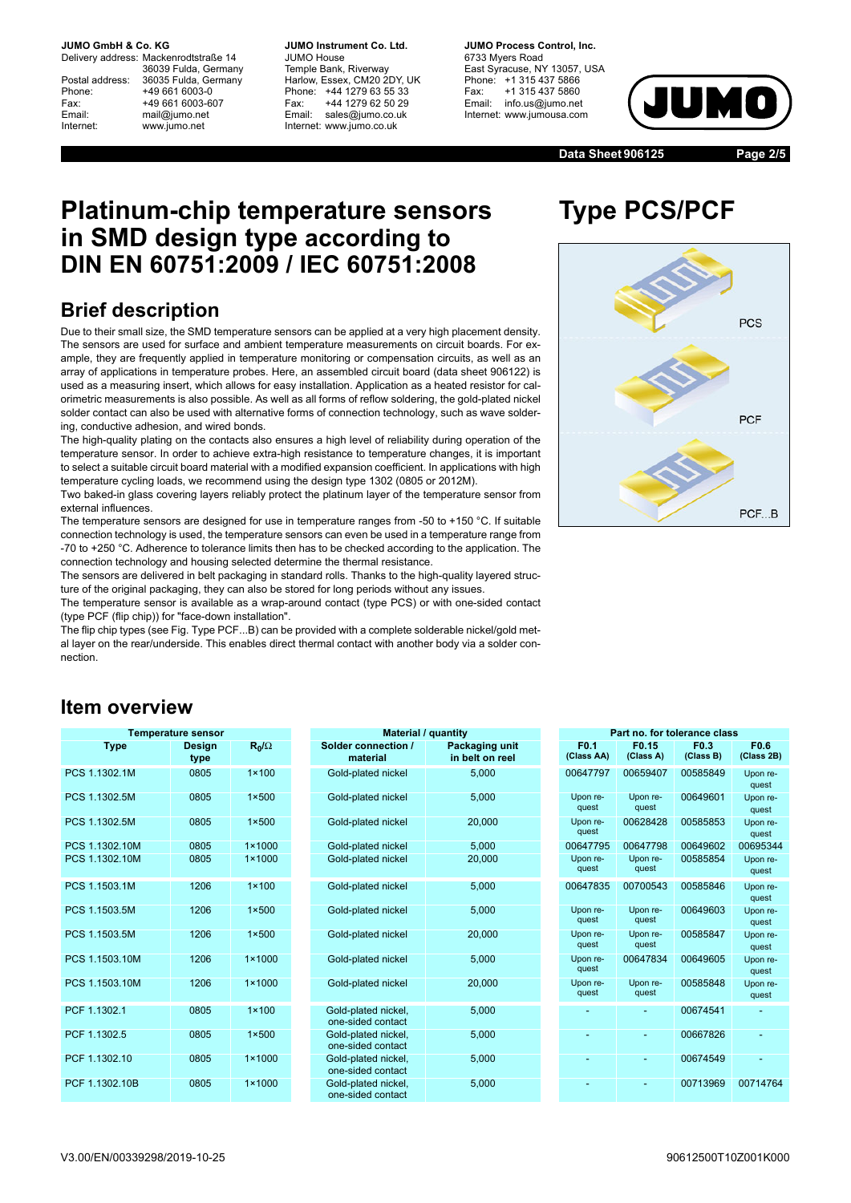**JUMO GmbH & Co. KG.** 

Delivery address: Mackenrodtstraße 14 36039 Fulda, Germany Postal address: 36035 Fulda, Germany<br>Phone: +49 661 6003-0 Phone: +49 661 6003-0<br>Fax: +49 661 6003-6 Fax: +49 661 6003-607<br>
Fmail: mail@iumo.net mail@iumo.net Internet: www.jumo.net

**-BUMO Instrument Co. Ltd.** JUMO House Temple Bank, Riverway Harlow, Essex, CM20 2DY, UK Phone: +44 1279 63 55 33<br>Fax: +44 1279 62 50 29 +44 1279 62 50 29 Email: sales@jumo.co.uk Internet: www.jumo.co.uk

**-BURG Process Control Inc.** 6733 Myers Road East Syracuse, NY 13057, USA Phone: +1 315 437 5866<br>Fax: +1 315 437 5860 Fax: +1 315 437 5860<br>Email: info.us@jumo.net info.us@jumo.net Internet: www.jumousa.com



**Data Sheet 906125 Page 2/5**

## **Platinum-chip temperature sensors in SMD design type according to DIN EN 60751:2009 / IEC 60751:2008**

## **Brief description**

Due to their small size, the SMD temperature sensors can be applied at a very high placement density. The sensors are used for surface and ambient temperature measurements on circuit boards. For example, they are frequently applied in temperature monitoring or compensation circuits, as well as an array of applications in temperature probes. Here, an assembled circuit board (data sheet 906122) is used as a measuring insert, which allows for easy installation. Application as a heated resistor for calorimetric measurements is also possible. As well as all forms of reflow soldering, the gold-plated nickel solder contact can also be used with alternative forms of connection technology, such as wave soldering, conductive adhesion, and wired bonds.

The high-quality plating on the contacts also ensures a high level of reliability during operation of the temperature sensor. In order to achieve extra-high resistance to temperature changes, it is important to select a suitable circuit board material with a modified expansion coefficient. In applications with high temperature cycling loads, we recommend using the design type 1302 (0805 or 2012M).

Two baked-in glass covering layers reliably protect the platinum layer of the temperature sensor from external influences.

The temperature sensors are designed for use in temperature ranges from -50 to +150 °C. If suitable connection technology is used, the temperature sensors can even be used in a temperature range from -70 to +250 °C. Adherence to tolerance limits then has to be checked according to the application. The connection technology and housing selected determine the thermal resistance.

The sensors are delivered in belt packaging in standard rolls. Thanks to the high-quality layered structure of the original packaging, they can also be stored for long periods without any issues.

The temperature sensor is available as a wrap-around contact (type PCS) or with one-sided contact (type PCF (flip chip)) for "face-down installation".

The flip chip types (see Fig. Type PCF...B) can be provided with a complete solderable nickel/gold metal layer on the rear/underside. This enables direct thermal contact with another body via a solder connection.

#### **Item overview**

| <b>Temperature sensor</b> | <b>Mater</b>          |                 |                                                                 |
|---------------------------|-----------------------|-----------------|-----------------------------------------------------------------|
| <b>Type</b>               | <b>Design</b><br>type | $R_0/\Omega$    | <b>Solder connection</b><br>material                            |
| PCS 1.1302.1M             | 0805                  | $1 \times 100$  | Gold-plated nickel                                              |
| PCS 1.1302.5M             | 0805                  | $1 \times 500$  | Gold-plated nickel                                              |
| PCS 1.1302.5M             | 0805                  | $1 \times 500$  | Gold-plated nickel                                              |
| PCS 1.1302.10M            | 0805                  | $1 \times 1000$ | Gold-plated nickel                                              |
| PCS 1.1302.10M            | 0805                  | $1 \times 1000$ | Gold-plated nickel                                              |
| PCS 1.1503.1M             | 1206                  | $1 \times 100$  | Gold-plated nickel                                              |
| PCS 1.1503.5M             | 1206                  | $1 \times 500$  | Gold-plated nickel                                              |
| PCS 1.1503.5M             | 1206                  | $1 \times 500$  | Gold-plated nickel                                              |
| PCS 1.1503.10M            | 1206                  | $1 \times 1000$ | Gold-plated nickel                                              |
| PCS 1.1503.10M            | 1206                  | $1 \times 1000$ | Gold-plated nickel                                              |
| PCF 1.1302.1              | 0805                  | $1 \times 100$  | Gold-plated nickel,<br>one-sided contact                        |
| PCF 1.1302.5              | 0805                  | $1 \times 500$  | Gold-plated nickel,<br>one-sided contact                        |
| PCF 1.1302.10             | 0805                  | $1 \times 1000$ | Gold-plated nickel,<br>one-sided contact                        |
| PCF 1.1302.10B            | 0805                  | $1 \times 1000$ | Gold-plated nickel,<br>المتابعة مرامين المرامية المتألف المرامي |

| . po. ata      |                       |                 | $1.1.4.01.017$ . 444.1.00                |                                   |                                |                                |                               |                                |
|----------------|-----------------------|-----------------|------------------------------------------|-----------------------------------|--------------------------------|--------------------------------|-------------------------------|--------------------------------|
| <b>Type</b>    | <b>Design</b><br>type | $R_0/\Omega$    | Solder connection /<br>material          | Packaging unit<br>in belt on reel | F <sub>0.1</sub><br>(Class AA) | F <sub>0.15</sub><br>(Class A) | F <sub>0.3</sub><br>(Class B) | F <sub>0.6</sub><br>(Class 2B) |
| PCS 1.1302.1M  | 0805                  | $1 \times 100$  | Gold-plated nickel                       | 5,000                             | 00647797                       | 00659407                       | 00585849                      | Upon re-<br>quest              |
| PCS 1.1302.5M  | 0805                  | $1 \times 500$  | Gold-plated nickel                       | 5,000                             | Upon re-<br>quest              | Upon re-<br>quest              | 00649601                      | Upon re-<br>quest              |
| PCS 1.1302.5M  | 0805                  | $1 \times 500$  | Gold-plated nickel                       | 20,000                            | Upon re-<br>quest              | 00628428                       | 00585853                      | Upon re-<br>quest              |
| PCS 1.1302.10M | 0805                  | $1 \times 1000$ | Gold-plated nickel                       | 5,000                             | 00647795                       | 00647798                       | 00649602                      | 00695344                       |
| PCS 1.1302.10M | 0805                  | $1 \times 1000$ | Gold-plated nickel                       | 20,000                            | Upon re-<br>quest              | Upon re-<br>quest              | 00585854                      | Upon re-<br>quest              |
| PCS 1.1503.1M  | 1206                  | $1 \times 100$  | Gold-plated nickel                       | 5,000                             | 00647835                       | 00700543                       | 00585846                      | Upon re-<br>quest              |
| PCS 1.1503.5M  | 1206                  | $1 \times 500$  | Gold-plated nickel                       | 5,000                             | Upon re-<br>quest              | Upon re-<br>quest              | 00649603                      | Upon re-<br>quest              |
| PCS 1.1503.5M  | 1206                  | $1 \times 500$  | Gold-plated nickel                       | 20,000                            | Upon re-<br>quest              | Upon re-<br>quest              | 00585847                      | Upon re-<br>quest              |
| PCS 1.1503.10M | 1206                  | $1 \times 1000$ | Gold-plated nickel                       | 5,000                             | Upon re-<br>quest              | 00647834                       | 00649605                      | Upon re-<br>quest              |
| PCS 1.1503.10M | 1206                  | $1 \times 1000$ | Gold-plated nickel                       | 20,000                            | Upon re-<br>quest              | Upon re-<br>quest              | 00585848                      | Upon re-<br>quest              |
| PCF 1.1302.1   | 0805                  | $1 \times 100$  | Gold-plated nickel,<br>one-sided contact | 5,000                             |                                |                                | 00674541                      |                                |
| PCF 1.1302.5   | 0805                  | $1 \times 500$  | Gold-plated nickel,<br>one-sided contact | 5,000                             |                                | ٠                              | 00667826                      |                                |
| PCF 1.1302.10  | 0805                  | $1 \times 1000$ | Gold-plated nickel,<br>one-sided contact | 5,000                             |                                | ٠                              | 00674549                      |                                |
| PCF 1.1302.10B | 0805                  | $1 \times 1000$ | Gold-plated nickel,<br>one-sided contact | 5,000                             |                                | ٠                              | 00713969                      | 00714764                       |
|                |                       |                 |                                          |                                   |                                |                                |                               |                                |

|    | <b>Temperature sensor</b> |                 | <b>Material / quantity</b>               |                                   |                                |                    | Part no. for tolerance class  |                                |
|----|---------------------------|-----------------|------------------------------------------|-----------------------------------|--------------------------------|--------------------|-------------------------------|--------------------------------|
|    | <b>Design</b><br>type     | $R_0/\Omega$    | Solder connection /<br>material          | Packaging unit<br>in belt on reel | F <sub>0.1</sub><br>(Class AA) | F0.15<br>(Class A) | F <sub>0.3</sub><br>(Class B) | F <sub>0.6</sub><br>(Class 2B) |
| м  | 0805                      | $1 \times 100$  | Gold-plated nickel                       | 5,000                             | 00647797                       | 00659407           | 00585849                      | Upon re-<br>quest              |
| M  | 0805                      | $1 \times 500$  | Gold-plated nickel                       | 5,000                             | Upon re-<br>quest              | Upon re-<br>quest  | 00649601                      | Upon re-<br>quest              |
| м  | 0805                      | $1 \times 500$  | Gold-plated nickel                       | 20,000                            | Upon re-<br>quest              | 00628428           | 00585853                      | Upon re-<br>quest              |
| 0M | 0805                      | $1 \times 1000$ | Gold-plated nickel                       | 5.000                             | 00647795                       | 00647798           | 00649602                      | 00695344                       |
| 0M | 0805                      | $1 \times 1000$ | Gold-plated nickel                       | 20,000                            | Upon re-<br>quest              | Upon re-<br>quest  | 00585854                      | Upon re-<br>quest              |
| м  | 1206                      | $1 \times 100$  | Gold-plated nickel                       | 5.000                             | 00647835                       | 00700543           | 00585846                      | Upon re-<br>quest              |
| M  | 1206                      | $1 \times 500$  | Gold-plated nickel                       | 5,000                             | Upon re-<br>quest              | Upon re-<br>quest  | 00649603                      | Upon re-<br>quest              |
| м  | 1206                      | $1 \times 500$  | Gold-plated nickel                       | 20.000                            | Upon re-<br>quest              | Upon re-<br>quest  | 00585847                      | Upon re-<br>quest              |
| ОM | 1206                      | $1 \times 1000$ | Gold-plated nickel                       | 5,000                             | Upon re-<br>quest              | 00647834           | 00649605                      | Upon re-<br>quest              |
| ОM | 1206                      | $1 \times 1000$ | Gold-plated nickel                       | 20,000                            | Upon re-<br>quest              | Upon re-<br>quest  | 00585848                      | Upon re-<br>quest              |
|    | 0805                      | $1 \times 100$  | Gold-plated nickel,<br>one-sided contact | 5,000                             |                                |                    | 00674541                      |                                |
|    | 0805                      | $1 \times 500$  | Gold-plated nickel.<br>one-sided contact | 5,000                             |                                | ٠                  | 00667826                      |                                |
|    | 0805                      | $1 \times 1000$ | Gold-plated nickel,<br>one-sided contact | 5,000                             |                                | ٠                  | 00674549                      |                                |
| ЭB | 0805                      | $1 \times 1000$ | Gold-plated nickel,<br>ana aidad aantaat | 5,000                             |                                |                    | 00713969                      | 00714764                       |

# **Type PCS/PCF**

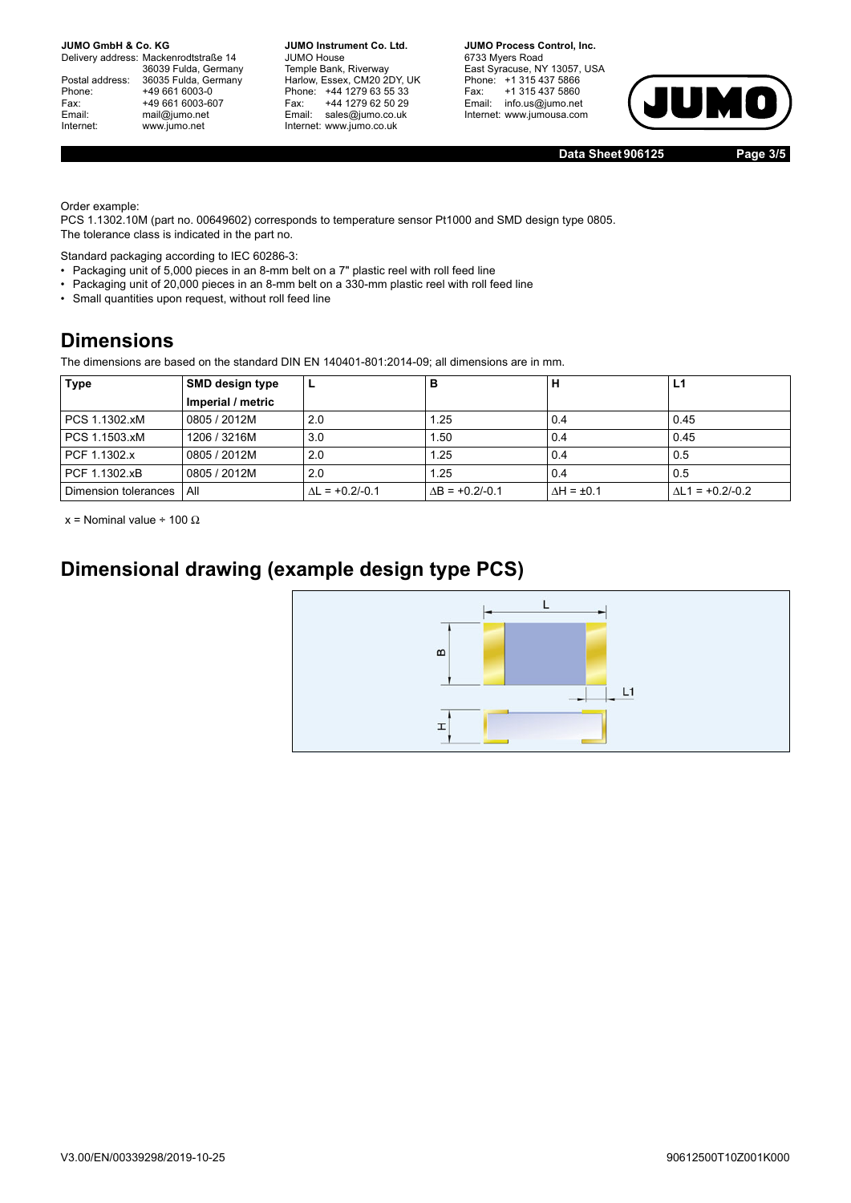Delivery address: Mackenrodtstraße 14 36039 Fulda, Germany Postal address: 36035 Fulda, Germany<br>Phone: +49 661 6003-0 Phone: +49 661 6003-0<br>Fax: +49 661 6003-6 Fax: +49 661 6003-607<br>
Email: mail@jumo.net mail@jumo.net Internet: www.jumo.net

**JUMO Instrument Co. Ltd.** JUMO House Temple Bank, Riverway<br>Harlow, Essex, CM20 2DY, UK Phone: +44 1279 63 55 33<br>Fax: +44 1279 62 50 29 +44 1279 62 50 29 Email: sales@jumo.co.uk Internet: www.jumo.co.uk

**JUMO Process Control, Inc.** 6733 Myers Road East Syracuse, NY 13057, USA Phone: +1 315 437 5866<br>Fax: +1 315 437 5860 Email: info.us@jumo.net Internet: www.jumousa.com



**Data Sheet 906125 Page 3/5**

Order example:

PCS 1.1302.10M (part no. 00649602) corresponds to temperature sensor Pt1000 and SMD design type 0805. The tolerance class is indicated in the part no.

Standard packaging according to IEC 60286-3:

- Packaging unit of 5,000 pieces in an 8-mm belt on a 7" plastic reel with roll feed line
- Packaging unit of 20,000 pieces in an 8-mm belt on a 330-mm plastic reel with roll feed line
- Small quantities upon request, without roll feed line

## **Dimensions**

The dimensions are based on the standard DIN EN 140401-801:2014-09; all dimensions are in mm.

| Type                 | <b>SMD design type</b> |                        | в                | н                    | L1                |
|----------------------|------------------------|------------------------|------------------|----------------------|-------------------|
|                      | Imperial / metric      |                        |                  |                      |                   |
| PCS 1.1302.xM        | 0805 / 2012M           | 2.0                    | 1.25             | 0.4                  | 0.45              |
| PCS 1.1503.xM        | 1206 / 3216M           | 3.0                    | . 50             | 0.4                  | 0.45              |
| PCF 1.1302.x         | 0805 / 2012M           | 2.0                    | 1.25             | 0.4                  | 0.5               |
| PCF 1.1302.xB        | 0805 / 2012M           | 2.0                    | 1.25             | 0.4                  | 0.5               |
| Dimension tolerances | All                    | $\Delta L = +0.2/-0.1$ | $AB = +0.2/-0.1$ | $\Delta H = \pm 0.1$ | $AL1 = +0.2/-0.2$ |

x = Nominal value ÷ 100  $\Omega$ 

## **Dimensional drawing (example design type PCS)**

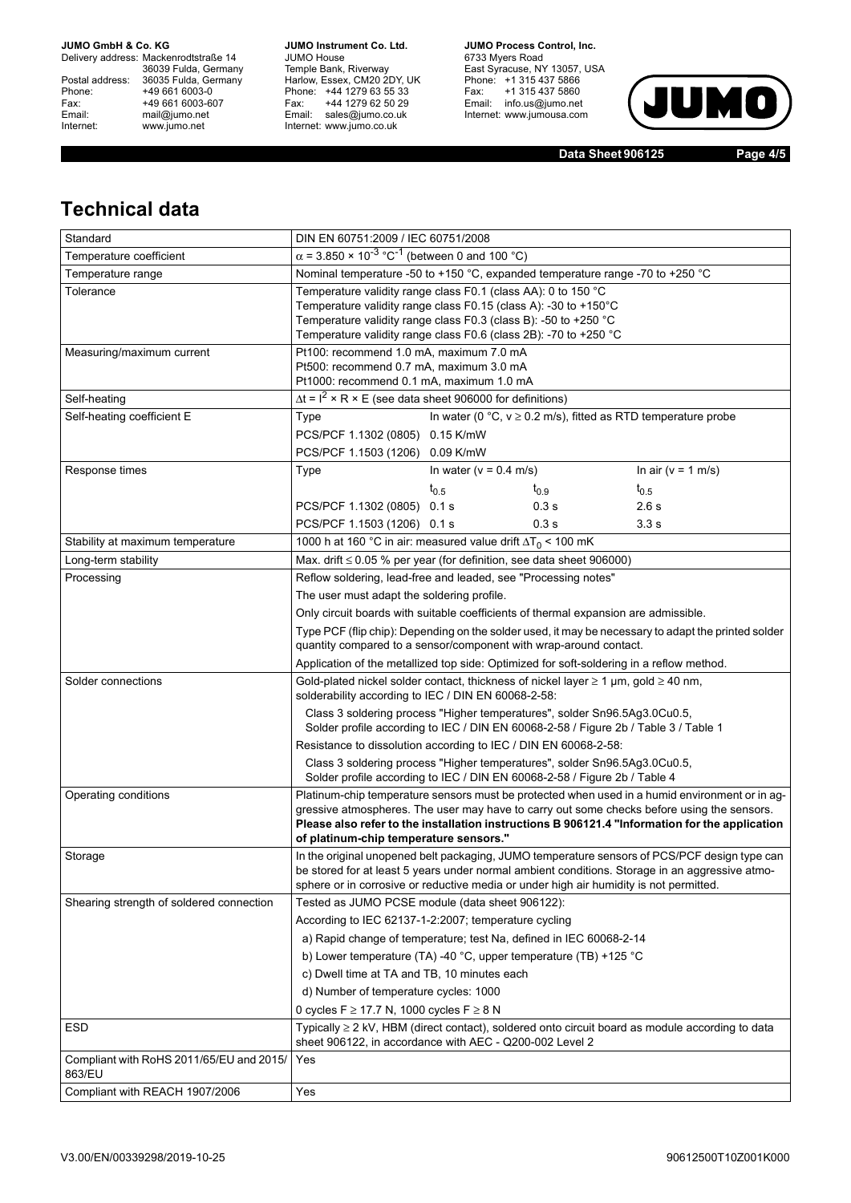#### **JUMO GmbH & Co. KG**

Delivery address: Mackenrodtstraße 14 36039 Fulda, Germany<br>Postal address: 36035 Fulda, Germany Phone: +49 661 6003-0<br>
Fax: +49 661 6003-6<br>
Email: mail@jumo.net +49 661 6003-607 Email: mail@jumo.net<br>Internet: www.jumo.net www.jumo.net

**JUMO Instrument Co. Ltd.** JUMO House Temple Bank, Riverway<br>Harlow, Essex, CM20 2DY, UK<br>Phone: +44 1279 63 55 33 Fax: +44 1279 62 50 29 Fax. THE IZIS OF OUR Internet: www.jumo.co.uk

**JUMO Process Control, Inc.** 6733 Myers Road East Syracuse, NY 13057, USA<br>Phone: +1 315 437 5866<br>Fax: +1 315 437 5860 Email: info.us@jumo.net Internet: www.jumousa.com



**Data Sheet 906125 Page 4/5**

## **Technical data**

| Standard                                           | DIN EN 60751:2009 / IEC 60751/2008                                                                                                                                                                                                                                                                                                       |                                                                                                                                                                  |                            |                                                                                                                                                                                                |  |  |  |
|----------------------------------------------------|------------------------------------------------------------------------------------------------------------------------------------------------------------------------------------------------------------------------------------------------------------------------------------------------------------------------------------------|------------------------------------------------------------------------------------------------------------------------------------------------------------------|----------------------------|------------------------------------------------------------------------------------------------------------------------------------------------------------------------------------------------|--|--|--|
| Temperature coefficient                            | $\alpha$ = 3.850 × 10 <sup>-3</sup> °C <sup>-1</sup> (between 0 and 100 °C)                                                                                                                                                                                                                                                              |                                                                                                                                                                  |                            |                                                                                                                                                                                                |  |  |  |
| Temperature range                                  | Nominal temperature -50 to +150 °C, expanded temperature range -70 to +250 °C                                                                                                                                                                                                                                                            |                                                                                                                                                                  |                            |                                                                                                                                                                                                |  |  |  |
| Tolerance                                          | Temperature validity range class F0.1 (class AA): 0 to 150 °C<br>Temperature validity range class F0.15 (class A): -30 to +150°C<br>Temperature validity range class F0.3 (class B): -50 to +250 °C<br>Temperature validity range class F0.6 (class 2B): -70 to +250 °C                                                                  |                                                                                                                                                                  |                            |                                                                                                                                                                                                |  |  |  |
| Measuring/maximum current                          |                                                                                                                                                                                                                                                                                                                                          | Pt100: recommend 1.0 mA, maximum 7.0 mA<br>Pt500: recommend 0.7 mA, maximum 3.0 mA<br>Pt1000: recommend 0.1 mA, maximum 1.0 mA                                   |                            |                                                                                                                                                                                                |  |  |  |
| Self-heating                                       | $\Delta t = I^2 \times R \times E$ (see data sheet 906000 for definitions)                                                                                                                                                                                                                                                               |                                                                                                                                                                  |                            |                                                                                                                                                                                                |  |  |  |
| Self-heating coefficient E                         | Type                                                                                                                                                                                                                                                                                                                                     | In water (0 °C, $v \ge 0.2$ m/s), fitted as RTD temperature probe<br>PCS/PCF 1.1302 (0805) 0.15 K/mW<br>PCS/PCF 1.1503 (1206) 0.09 K/mW                          |                            |                                                                                                                                                                                                |  |  |  |
| Response times                                     | Type                                                                                                                                                                                                                                                                                                                                     | In water ( $v = 0.4$ m/s)                                                                                                                                        |                            | In air ( $v = 1$ m/s)                                                                                                                                                                          |  |  |  |
|                                                    | PCS/PCF 1.1302 (0805) 0.1 s<br>PCS/PCF 1.1503 (1206) 0.1 s                                                                                                                                                                                                                                                                               | $t_{0.5}$                                                                                                                                                        | $t_{0.9}$<br>0.3 s<br>0.3s | $t_{0.5}$<br>2.6 s<br>3.3 s                                                                                                                                                                    |  |  |  |
| Stability at maximum temperature                   | 1000 h at 160 °C in air: measured value drift $\Delta T_0$ < 100 mK                                                                                                                                                                                                                                                                      |                                                                                                                                                                  |                            |                                                                                                                                                                                                |  |  |  |
| Long-term stability                                | Max. drift ≤ 0.05 % per year (for definition, see data sheet 906000)                                                                                                                                                                                                                                                                     |                                                                                                                                                                  |                            |                                                                                                                                                                                                |  |  |  |
| Processing                                         | Reflow soldering, lead-free and leaded, see "Processing notes"<br>The user must adapt the soldering profile.                                                                                                                                                                                                                             |                                                                                                                                                                  |                            |                                                                                                                                                                                                |  |  |  |
|                                                    | Only circuit boards with suitable coefficients of thermal expansion are admissible.                                                                                                                                                                                                                                                      |                                                                                                                                                                  |                            |                                                                                                                                                                                                |  |  |  |
|                                                    | quantity compared to a sensor/component with wrap-around contact.                                                                                                                                                                                                                                                                        |                                                                                                                                                                  |                            | Type PCF (flip chip): Depending on the solder used, it may be necessary to adapt the printed solder                                                                                            |  |  |  |
|                                                    | Application of the metallized top side: Optimized for soft-soldering in a reflow method.                                                                                                                                                                                                                                                 |                                                                                                                                                                  |                            |                                                                                                                                                                                                |  |  |  |
| Solder connections                                 | Gold-plated nickel solder contact, thickness of nickel layer $\geq 1$ µm, gold $\geq 40$ nm,<br>solderability according to IEC / DIN EN 60068-2-58:                                                                                                                                                                                      |                                                                                                                                                                  |                            |                                                                                                                                                                                                |  |  |  |
|                                                    |                                                                                                                                                                                                                                                                                                                                          | Class 3 soldering process "Higher temperatures", solder Sn96.5Ag3.0Cu0.5,<br>Solder profile according to IEC / DIN EN 60068-2-58 / Figure 2b / Table 3 / Table 1 |                            |                                                                                                                                                                                                |  |  |  |
|                                                    | Resistance to dissolution according to IEC / DIN EN 60068-2-58:                                                                                                                                                                                                                                                                          |                                                                                                                                                                  |                            |                                                                                                                                                                                                |  |  |  |
|                                                    |                                                                                                                                                                                                                                                                                                                                          | Class 3 soldering process "Higher temperatures", solder Sn96.5Ag3.0Cu0.5,<br>Solder profile according to IEC / DIN EN 60068-2-58 / Figure 2b / Table 4           |                            |                                                                                                                                                                                                |  |  |  |
| Operating conditions                               | Platinum-chip temperature sensors must be protected when used in a humid environment or in ag-<br>gressive atmospheres. The user may have to carry out some checks before using the sensors.<br>Please also refer to the installation instructions B 906121.4 "Information for the application<br>of platinum-chip temperature sensors." |                                                                                                                                                                  |                            |                                                                                                                                                                                                |  |  |  |
| Storage                                            | sphere or in corrosive or reductive media or under high air humidity is not permitted.                                                                                                                                                                                                                                                   |                                                                                                                                                                  |                            | In the original unopened belt packaging, JUMO temperature sensors of PCS/PCF design type can<br>be stored for at least 5 years under normal ambient conditions. Storage in an aggressive atmo- |  |  |  |
| Shearing strength of soldered connection           | Tested as JUMO PCSE module (data sheet 906122):                                                                                                                                                                                                                                                                                          |                                                                                                                                                                  |                            |                                                                                                                                                                                                |  |  |  |
|                                                    | According to IEC 62137-1-2:2007; temperature cycling                                                                                                                                                                                                                                                                                     |                                                                                                                                                                  |                            |                                                                                                                                                                                                |  |  |  |
|                                                    | a) Rapid change of temperature; test Na, defined in IEC 60068-2-14                                                                                                                                                                                                                                                                       |                                                                                                                                                                  |                            |                                                                                                                                                                                                |  |  |  |
|                                                    | b) Lower temperature (TA) -40 °C, upper temperature (TB) +125 °C                                                                                                                                                                                                                                                                         |                                                                                                                                                                  |                            |                                                                                                                                                                                                |  |  |  |
|                                                    | c) Dwell time at TA and TB, 10 minutes each                                                                                                                                                                                                                                                                                              |                                                                                                                                                                  |                            |                                                                                                                                                                                                |  |  |  |
|                                                    | d) Number of temperature cycles: 1000                                                                                                                                                                                                                                                                                                    |                                                                                                                                                                  |                            |                                                                                                                                                                                                |  |  |  |
|                                                    | 0 cycles F ≥ 17.7 N, 1000 cycles F ≥ 8 N                                                                                                                                                                                                                                                                                                 |                                                                                                                                                                  |                            |                                                                                                                                                                                                |  |  |  |
| <b>ESD</b>                                         | sheet 906122, in accordance with AEC - Q200-002 Level 2                                                                                                                                                                                                                                                                                  |                                                                                                                                                                  |                            | Typically $\geq 2$ kV, HBM (direct contact), soldered onto circuit board as module according to data                                                                                           |  |  |  |
| Compliant with RoHS 2011/65/EU and 2015/<br>863/EU | Yes                                                                                                                                                                                                                                                                                                                                      |                                                                                                                                                                  |                            |                                                                                                                                                                                                |  |  |  |
| Compliant with REACH 1907/2006                     | Yes                                                                                                                                                                                                                                                                                                                                      |                                                                                                                                                                  |                            |                                                                                                                                                                                                |  |  |  |